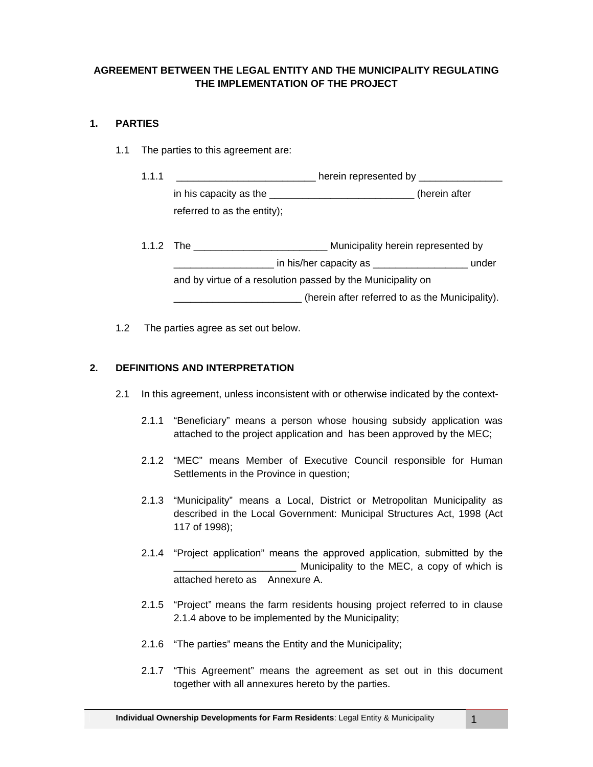# **AGREEMENT BETWEEN THE LEGAL ENTITY AND THE MUNICIPALITY REGULATING THE IMPLEMENTATION OF THE PROJECT**

# **1. PARTIES**

- 1.1 The parties to this agreement are:
	- 1.1.1 \_\_\_\_\_\_\_\_\_\_\_\_\_\_\_\_\_\_\_\_\_\_\_\_\_\_\_\_ herein represented by \_\_\_\_\_\_\_\_\_\_\_\_\_\_\_\_\_\_\_\_\_\_\_ in his capacity as the \_\_\_\_\_\_\_\_\_\_\_\_\_\_\_\_\_\_\_\_\_\_\_\_\_\_\_\_\_(herein after referred to as the entity);
	- 1.1.2 The **Nunicipality herein represented by** \_\_\_\_\_\_\_\_\_\_\_\_\_\_\_\_\_\_ in his/her capacity as \_\_\_\_\_\_\_\_\_\_\_\_\_\_\_\_\_ under and by virtue of a resolution passed by the Municipality on \_\_\_\_\_\_\_\_\_\_\_\_\_\_\_\_\_\_\_\_\_\_\_ (herein after referred to as the Municipality).
- 1.2 The parties agree as set out below.

# **2. DEFINITIONS AND INTERPRETATION**

- 2.1 In this agreement, unless inconsistent with or otherwise indicated by the context-
	- 2.1.1 "Beneficiary" means a person whose housing subsidy application was attached to the project application and has been approved by the MEC;
	- 2.1.2 "MEC" means Member of Executive Council responsible for Human Settlements in the Province in question;
	- 2.1.3 "Municipality" means a Local, District or Metropolitan Municipality as described in the Local Government: Municipal Structures Act, 1998 (Act 117 of 1998);
	- 2.1.4 "Project application" means the approved application, submitted by the Municipality to the MEC, a copy of which is attached hereto as Annexure A.
	- 2.1.5 "Project" means the farm residents housing project referred to in clause 2.1.4 above to be implemented by the Municipality;
	- 2.1.6 "The parties" means the Entity and the Municipality;
	- 2.1.7 "This Agreement" means the agreement as set out in this document together with all annexures hereto by the parties.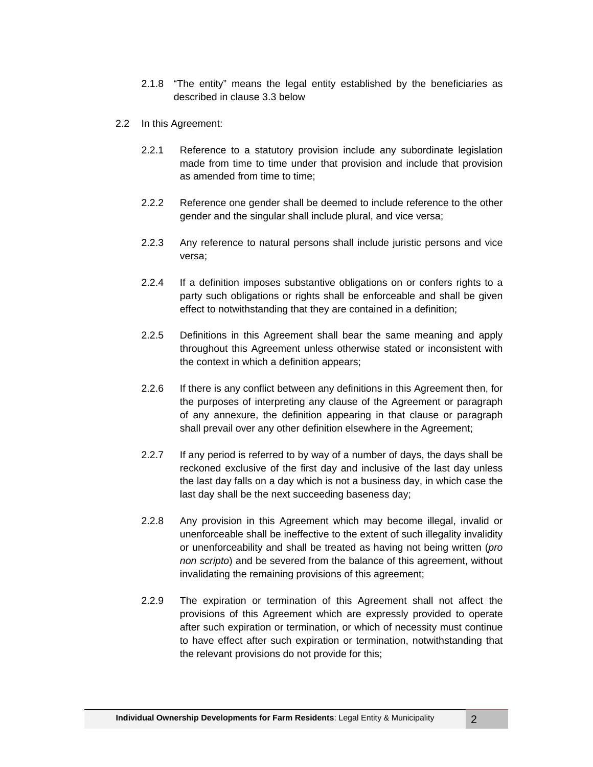- 2.1.8 "The entity" means the legal entity established by the beneficiaries as described in clause 3.3 below
- 2.2 In this Agreement:
	- 2.2.1 Reference to a statutory provision include any subordinate legislation made from time to time under that provision and include that provision as amended from time to time;
	- 2.2.2 Reference one gender shall be deemed to include reference to the other gender and the singular shall include plural, and vice versa;
	- 2.2.3 Any reference to natural persons shall include juristic persons and vice versa;
	- 2.2.4 If a definition imposes substantive obligations on or confers rights to a party such obligations or rights shall be enforceable and shall be given effect to notwithstanding that they are contained in a definition;
	- 2.2.5 Definitions in this Agreement shall bear the same meaning and apply throughout this Agreement unless otherwise stated or inconsistent with the context in which a definition appears;
	- 2.2.6 If there is any conflict between any definitions in this Agreement then, for the purposes of interpreting any clause of the Agreement or paragraph of any annexure, the definition appearing in that clause or paragraph shall prevail over any other definition elsewhere in the Agreement;
	- 2.2.7 If any period is referred to by way of a number of days, the days shall be reckoned exclusive of the first day and inclusive of the last day unless the last day falls on a day which is not a business day, in which case the last day shall be the next succeeding baseness day;
	- 2.2.8 Any provision in this Agreement which may become illegal, invalid or unenforceable shall be ineffective to the extent of such illegality invalidity or unenforceability and shall be treated as having not being written (*pro non scripto*) and be severed from the balance of this agreement, without invalidating the remaining provisions of this agreement;
	- 2.2.9 The expiration or termination of this Agreement shall not affect the provisions of this Agreement which are expressly provided to operate after such expiration or termination, or which of necessity must continue to have effect after such expiration or termination, notwithstanding that the relevant provisions do not provide for this;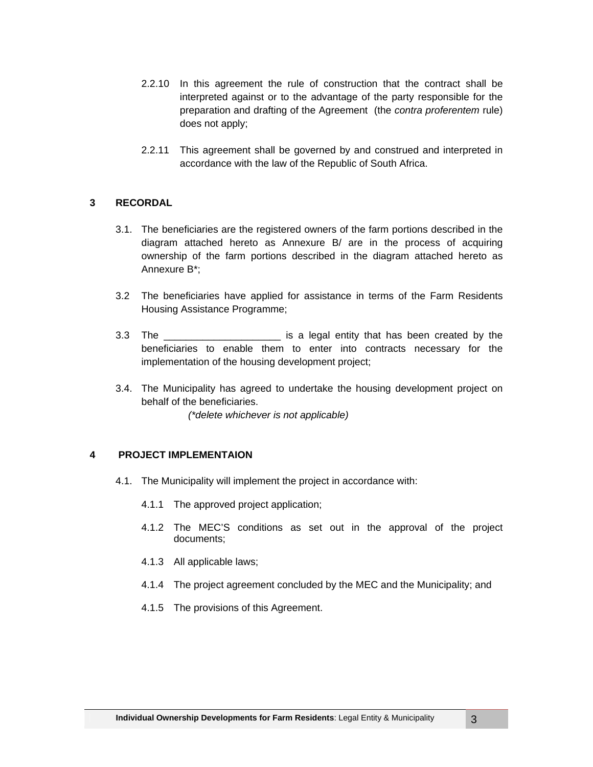- 2.2.10 In this agreement the rule of construction that the contract shall be interpreted against or to the advantage of the party responsible for the preparation and drafting of the Agreement (the *contra proferentem* rule) does not apply;
- 2.2.11 This agreement shall be governed by and construed and interpreted in accordance with the law of the Republic of South Africa.

### **3 RECORDAL**

- 3.1. The beneficiaries are the registered owners of the farm portions described in the diagram attached hereto as Annexure B/ are in the process of acquiring ownership of the farm portions described in the diagram attached hereto as Annexure B\*;
- 3.2 The beneficiaries have applied for assistance in terms of the Farm Residents Housing Assistance Programme;
- 3.3 The \_\_\_\_\_\_\_\_\_\_\_\_\_\_\_\_\_\_\_\_\_ is a legal entity that has been created by the beneficiaries to enable them to enter into contracts necessary for the implementation of the housing development project;
- 3.4. The Municipality has agreed to undertake the housing development project on behalf of the beneficiaries.

*(\*delete whichever is not applicable)* 

## **4 PROJECT IMPLEMENTAION**

- 4.1. The Municipality will implement the project in accordance with:
	- 4.1.1 The approved project application;
	- 4.1.2 The MEC'S conditions as set out in the approval of the project documents;
	- 4.1.3 All applicable laws;
	- 4.1.4 The project agreement concluded by the MEC and the Municipality; and
	- 4.1.5 The provisions of this Agreement.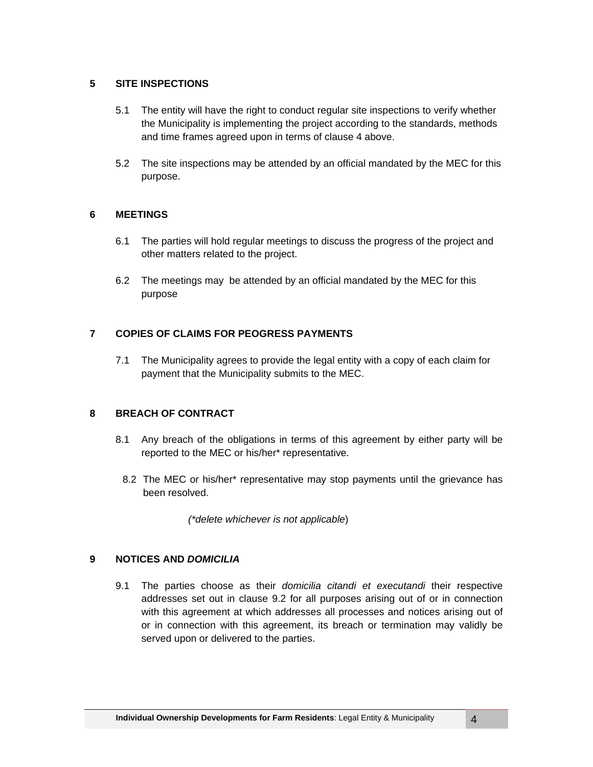### **5 SITE INSPECTIONS**

- 5.1 The entity will have the right to conduct regular site inspections to verify whether the Municipality is implementing the project according to the standards, methods and time frames agreed upon in terms of clause 4 above.
- 5.2 The site inspections may be attended by an official mandated by the MEC for this purpose.

### **6 MEETINGS**

- 6.1 The parties will hold regular meetings to discuss the progress of the project and other matters related to the project.
- 6.2 The meetings may be attended by an official mandated by the MEC for this purpose

# **7 COPIES OF CLAIMS FOR PEOGRESS PAYMENTS**

7.1 The Municipality agrees to provide the legal entity with a copy of each claim for payment that the Municipality submits to the MEC.

# **8 BREACH OF CONTRACT**

- 8.1 Any breach of the obligations in terms of this agreement by either party will be reported to the MEC or his/her\* representative.
	- 8.2 The MEC or his/her\* representative may stop payments until the grievance has been resolved.

*(\*delete whichever is not applicable*)

### **9 NOTICES AND** *DOMICILIA*

9.1 The parties choose as their *domicilia citandi et executandi* their respective addresses set out in clause 9.2 for all purposes arising out of or in connection with this agreement at which addresses all processes and notices arising out of or in connection with this agreement, its breach or termination may validly be served upon or delivered to the parties.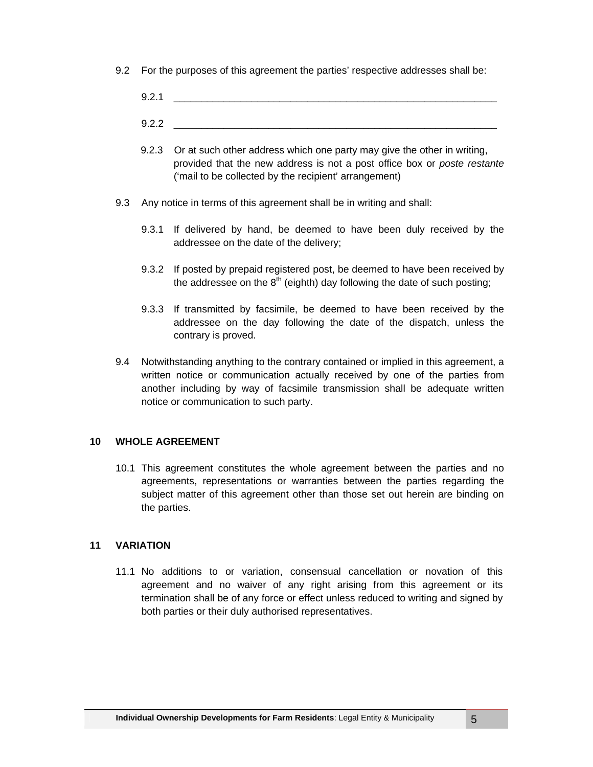- 9.2 For the purposes of this agreement the parties' respective addresses shall be:
	- $9.2.1$
	- 9.2.2 \_\_\_\_\_\_\_\_\_\_\_\_\_\_\_\_\_\_\_\_\_\_\_\_\_\_\_\_\_\_\_\_\_\_\_\_\_\_\_\_\_\_\_\_\_\_\_\_\_\_\_\_\_\_\_\_\_\_
	- 9.2.3 Or at such other address which one party may give the other in writing, provided that the new address is not a post office box or *poste restante* ('mail to be collected by the recipient' arrangement)
- 9.3 Any notice in terms of this agreement shall be in writing and shall:
	- 9.3.1 If delivered by hand, be deemed to have been duly received by the addressee on the date of the delivery;
	- 9.3.2 If posted by prepaid registered post, be deemed to have been received by the addressee on the  $8<sup>th</sup>$  (eighth) day following the date of such posting;
	- 9.3.3 If transmitted by facsimile, be deemed to have been received by the addressee on the day following the date of the dispatch, unless the contrary is proved.
- 9.4 Notwithstanding anything to the contrary contained or implied in this agreement, a written notice or communication actually received by one of the parties from another including by way of facsimile transmission shall be adequate written notice or communication to such party.

### **10 WHOLE AGREEMENT**

10.1 This agreement constitutes the whole agreement between the parties and no agreements, representations or warranties between the parties regarding the subject matter of this agreement other than those set out herein are binding on the parties.

#### **11 VARIATION**

11.1 No additions to or variation, consensual cancellation or novation of this agreement and no waiver of any right arising from this agreement or its termination shall be of any force or effect unless reduced to writing and signed by both parties or their duly authorised representatives.